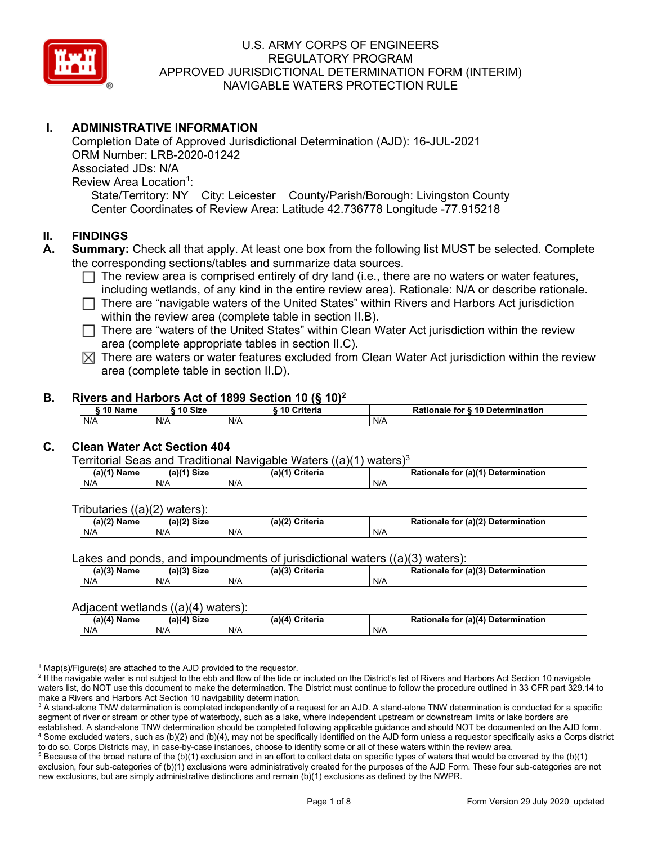

# **I. ADMINISTRATIVE INFORMATION**

Completion Date of Approved Jurisdictional Determination (AJD): 16-JUL-2021 ORM Number: LRB-2020-01242 Associated JDs: N/A Review Area Location<sup>1</sup>: State/Territory: NY City: Leicester County/Parish/Borough: Livingston County Center Coordinates of Review Area: Latitude 42.736778 Longitude -77.915218

### **II. FINDINGS**

- **A. Summary:** Check all that apply. At least one box from the following list MUST be selected. Complete the corresponding sections/tables and summarize data sources.
	- $\Box$  The review area is comprised entirely of dry land (i.e., there are no waters or water features, including wetlands, of any kind in the entire review area). Rationale: N/A or describe rationale.
	- There are "navigable waters of the United States" within Rivers and Harbors Act jurisdiction within the review area (complete table in section II.B).
	- $\Box$  There are "waters of the United States" within Clean Water Act jurisdiction within the review area (complete appropriate tables in section II.C).
	- $\boxtimes$  There are waters or water features excluded from Clean Water Act jurisdiction within the review area (complete table in section II.D).

#### **B. Rivers and Harbors Act of 1899 Section 10 (§ 10)2**

|              |         | $\frac{1}{2}$          |                                  |
|--------------|---------|------------------------|----------------------------------|
| <b>AA 51</b> | 10 Size | <b>Criteria</b><br>-10 | Rationale for § 10 Determination |
| N/A          | N/A     | N/A                    | N/A                              |

# **C. Clean Water Act Section 404**

Territorial Seas and Traditional Navigable Waters  $((a)(1)$  waters)<sup>3</sup>

| Name<br>a) | <b>Size</b><br>01/41 | $(a)$ $(4)$<br>Criteria | $ur$ (a) $(4)$<br><b>Determination</b><br>Rationale<br>tor |
|------------|----------------------|-------------------------|------------------------------------------------------------|
| N/A        | N/A                  | N/A                     | N/A                                                        |

Tributaries ((a)(2) waters):

| $(a)$ ( $\degree$<br>Name | $\sim$ $\sim$<br>C <sub>1</sub><br>JIZE<br>,,, | (a)(2)<br>Criteria | (a)(2) Determination<br>Dational<br>tor<br>nale<br>тіг |
|---------------------------|------------------------------------------------|--------------------|--------------------------------------------------------|
| N/A                       | N/A                                            | N/A                | N/A                                                    |

Lakes and ponds, and impoundments of jurisdictional waters ((a)(3) waters):

| $(a)(3)$ $^{\prime\prime}$ | $(a)(3)$ Size | (a)(?')  | for (a)(3) Determination |
|----------------------------|---------------|----------|--------------------------|
| Name                       |               | Criteria | Rationale                |
| N/A                        | N/A           | N/A      | N/A                      |

#### Adjacent wetlands ((a)(4) waters):

| . .<br>(a)(a)<br>Name | <b>Size</b><br>(a)(4) | (a)(4)<br>Criteria | (a)(4)<br>Determination<br>for<br>nale 1 |
|-----------------------|-----------------------|--------------------|------------------------------------------|
| N/A                   | N/A                   | N/A                | N/A                                      |

<sup>1</sup> Map(s)/Figure(s) are attached to the AJD provided to the requestor.<br><sup>2</sup> If the navigable water is not subject to the ebb and flow of the tide or included on the District's list of Rivers and Harbors Act Section 10 nav waters list, do NOT use this document to make the determination. The District must continue to follow the procedure outlined in 33 CFR part 329.14 to make a Rivers and Harbors Act Section 10 navigability determination.

<sup>3</sup> A stand-alone TNW determination is completed independently of a request for an AJD. A stand-alone TNW determination is conducted for a specific segment of river or stream or other type of waterbody, such as a lake, where independent upstream or downstream limits or lake borders are established. A stand-alone TNW determination should be completed following applicable guidance and should NOT be documented on the AJD form. <sup>4</sup> Some excluded waters, such as (b)(2) and (b)(4), may not be specifically identified on the AJD form unless a requestor specifically asks a Corps district to do so. Corps Districts may, in case-by-case instances, choose to identify some or all of these waters within the review area.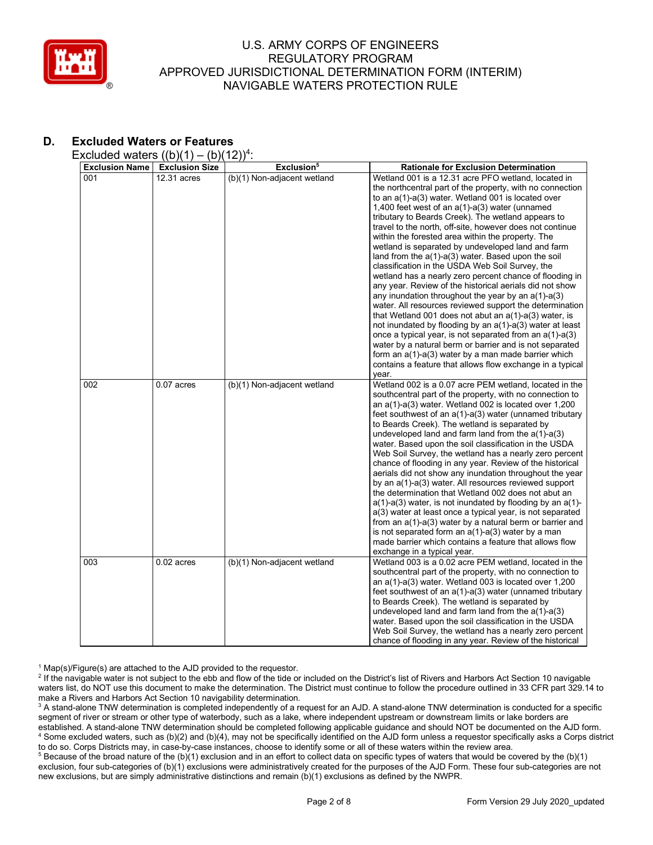

# **D. Excluded Waters or Features**

Excluded waters  $((b)(1) - (b)(12))^4$ :

| wwww.natoro                  | $\frac{1}{2}$<br>\~\\                | $-11$                                                 |                                                                                                                                                                                                                                                                                                                                                                                                                                                                                                                                                                                                                                                                                                                                                                                                                                                                                                                                                                                                                                                          |
|------------------------------|--------------------------------------|-------------------------------------------------------|----------------------------------------------------------------------------------------------------------------------------------------------------------------------------------------------------------------------------------------------------------------------------------------------------------------------------------------------------------------------------------------------------------------------------------------------------------------------------------------------------------------------------------------------------------------------------------------------------------------------------------------------------------------------------------------------------------------------------------------------------------------------------------------------------------------------------------------------------------------------------------------------------------------------------------------------------------------------------------------------------------------------------------------------------------|
|                              |                                      |                                                       |                                                                                                                                                                                                                                                                                                                                                                                                                                                                                                                                                                                                                                                                                                                                                                                                                                                                                                                                                                                                                                                          |
| <b>Exclusion Name</b><br>001 | <b>Exclusion Size</b><br>12.31 acres | Exclusion <sup>5</sup><br>(b)(1) Non-adjacent wetland | <b>Rationale for Exclusion Determination</b><br>Wetland 001 is a 12.31 acre PFO wetland, located in<br>the northcentral part of the property, with no connection<br>to an a(1)-a(3) water. Wetland 001 is located over<br>1,400 feet west of an $a(1)$ - $a(3)$ water (unnamed<br>tributary to Beards Creek). The wetland appears to<br>travel to the north, off-site, however does not continue<br>within the forested area within the property. The<br>wetland is separated by undeveloped land and farm<br>land from the $a(1)-a(3)$ water. Based upon the soil<br>classification in the USDA Web Soil Survey, the<br>wetland has a nearly zero percent chance of flooding in<br>any year. Review of the historical aerials did not show<br>any inundation throughout the year by an $a(1)-a(3)$<br>water. All resources reviewed support the determination<br>that Wetland 001 does not abut an a(1)-a(3) water, is                                                                                                                                  |
|                              |                                      |                                                       | not inundated by flooding by an a(1)-a(3) water at least<br>once a typical year, is not separated from an $a(1)$ - $a(3)$<br>water by a natural berm or barrier and is not separated<br>form an a(1)-a(3) water by a man made barrier which<br>contains a feature that allows flow exchange in a typical<br>year.                                                                                                                                                                                                                                                                                                                                                                                                                                                                                                                                                                                                                                                                                                                                        |
| 002                          | $0.07$ acres                         | (b)(1) Non-adjacent wetland                           | Wetland 002 is a 0.07 acre PEM wetland, located in the<br>southcentral part of the property, with no connection to<br>an a(1)-a(3) water. Wetland 002 is located over 1,200<br>feet southwest of an a(1)-a(3) water (unnamed tributary<br>to Beards Creek). The wetland is separated by<br>undeveloped land and farm land from the $a(1)-a(3)$<br>water. Based upon the soil classification in the USDA<br>Web Soil Survey, the wetland has a nearly zero percent<br>chance of flooding in any year. Review of the historical<br>aerials did not show any inundation throughout the year<br>by an a(1)-a(3) water. All resources reviewed support<br>the determination that Wetland 002 does not abut an<br>$a(1)$ -a(3) water, is not inundated by flooding by an $a(1)$ -<br>a(3) water at least once a typical year, is not separated<br>from an a(1)-a(3) water by a natural berm or barrier and<br>is not separated form an $a(1)$ - $a(3)$ water by a man<br>made barrier which contains a feature that allows flow<br>exchange in a typical year. |
| 003                          | $0.02$ acres                         | (b)(1) Non-adjacent wetland                           | Wetland 003 is a 0.02 acre PEM wetland, located in the<br>southcentral part of the property, with no connection to<br>an a(1)-a(3) water. Wetland 003 is located over 1,200<br>feet southwest of an a(1)-a(3) water (unnamed tributary<br>to Beards Creek). The wetland is separated by<br>undeveloped land and farm land from the $a(1)-a(3)$<br>water. Based upon the soil classification in the USDA<br>Web Soil Survey, the wetland has a nearly zero percent<br>chance of flooding in any year. Review of the historical                                                                                                                                                                                                                                                                                                                                                                                                                                                                                                                            |

<sup>1</sup> Map(s)/Figure(s) are attached to the AJD provided to the requestor.<br><sup>2</sup> If the navigable water is not subject to the ebb and flow of the tide or included on the District's list of Rivers and Harbors Act Section 10 nav waters list, do NOT use this document to make the determination. The District must continue to follow the procedure outlined in 33 CFR part 329.14 to make a Rivers and Harbors Act Section 10 navigability determination.

<sup>3</sup> A stand-alone TNW determination is completed independently of a request for an AJD. A stand-alone TNW determination is conducted for a specific segment of river or stream or other type of waterbody, such as a lake, where independent upstream or downstream limits or lake borders are established. A stand-alone TNW determination should be completed following applicable guidance and should NOT be documented on the AJD form. <sup>4</sup> Some excluded waters, such as (b)(2) and (b)(4), may not be specifically identified on the AJD form unless a requestor specifically asks a Corps district to do so. Corps Districts may, in case-by-case instances, choose to identify some or all of these waters within the review area.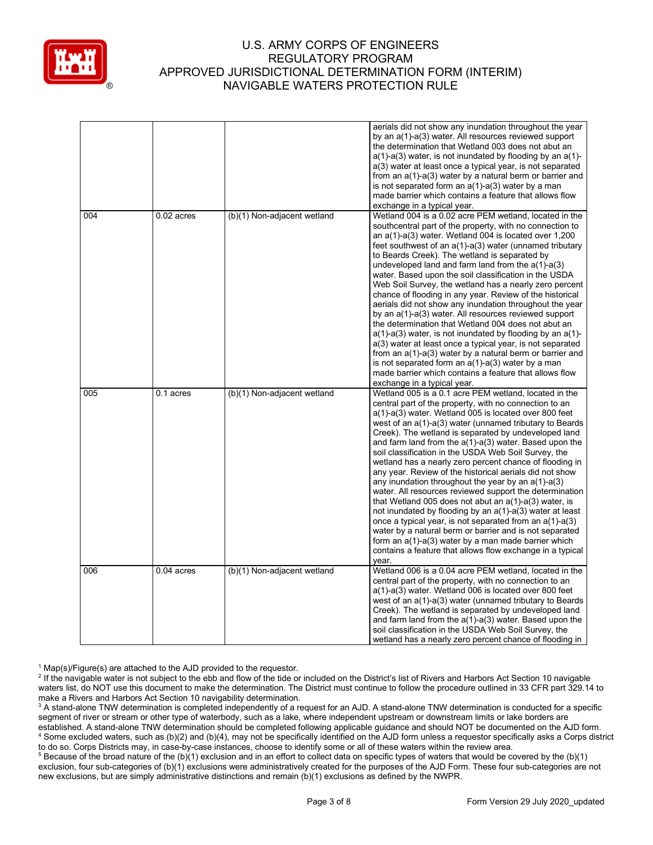

|     |              |                             | aerials did not show any inundation throughout the year<br>by an a(1)-a(3) water. All resources reviewed support<br>the determination that Wetland 003 does not abut an<br>$a(1)$ -a(3) water, is not inundated by flooding by an $a(1)$ -<br>a(3) water at least once a typical year, is not separated<br>from an $a(1)-a(3)$ water by a natural berm or barrier and<br>is not separated form an $a(1)$ -a(3) water by a man<br>made barrier which contains a feature that allows flow<br>exchange in a typical year.                                                                                                                                                                                                                                                                                                                                                                                                                                                                                                                                |
|-----|--------------|-----------------------------|-------------------------------------------------------------------------------------------------------------------------------------------------------------------------------------------------------------------------------------------------------------------------------------------------------------------------------------------------------------------------------------------------------------------------------------------------------------------------------------------------------------------------------------------------------------------------------------------------------------------------------------------------------------------------------------------------------------------------------------------------------------------------------------------------------------------------------------------------------------------------------------------------------------------------------------------------------------------------------------------------------------------------------------------------------|
| 004 | $0.02$ acres | (b)(1) Non-adjacent wetland | Wetland 004 is a 0.02 acre PEM wetland, located in the<br>southcentral part of the property, with no connection to<br>an a(1)-a(3) water. Wetland 004 is located over 1,200<br>feet southwest of an a(1)-a(3) water (unnamed tributary<br>to Beards Creek). The wetland is separated by<br>undeveloped land and farm land from the $a(1)-a(3)$<br>water. Based upon the soil classification in the USDA<br>Web Soil Survey, the wetland has a nearly zero percent<br>chance of flooding in any year. Review of the historical<br>aerials did not show any inundation throughout the year<br>by an a(1)-a(3) water. All resources reviewed support<br>the determination that Wetland 004 does not abut an<br>$a(1)$ -a(3) water, is not inundated by flooding by an $a(1)$ -<br>a(3) water at least once a typical year, is not separated<br>from an a(1)-a(3) water by a natural berm or barrier and<br>is not separated form an $a(1)$ -a(3) water by a man<br>made barrier which contains a feature that allows flow<br>exchange in a typical year. |
| 005 | 0.1 acres    | (b)(1) Non-adjacent wetland | Wetland 005 is a 0.1 acre PEM wetland, located in the<br>central part of the property, with no connection to an<br>a(1)-a(3) water. Wetland 005 is located over 800 feet<br>west of an a(1)-a(3) water (unnamed tributary to Beards<br>Creek). The wetland is separated by undeveloped land<br>and farm land from the $a(1)$ - $a(3)$ water. Based upon the<br>soil classification in the USDA Web Soil Survey, the<br>wetland has a nearly zero percent chance of flooding in<br>any year. Review of the historical aerials did not show<br>any inundation throughout the year by an $a(1)$ -a(3)<br>water. All resources reviewed support the determination<br>that Wetland 005 does not abut an $a(1)$ -a(3) water, is<br>not inundated by flooding by an a(1)-a(3) water at least<br>once a typical year, is not separated from an $a(1)$ -a(3)<br>water by a natural berm or barrier and is not separated<br>form an $a(1)$ - $a(3)$ water by a man made barrier which<br>contains a feature that allows flow exchange in a typical<br>year.     |
| 006 | $0.04$ acres | (b)(1) Non-adjacent wetland | Wetland 006 is a 0.04 acre PEM wetland, located in the<br>central part of the property, with no connection to an<br>a(1)-a(3) water. Wetland 006 is located over 800 feet<br>west of an a(1)-a(3) water (unnamed tributary to Beards<br>Creek). The wetland is separated by undeveloped land<br>and farm land from the $a(1)$ - $a(3)$ water. Based upon the<br>soil classification in the USDA Web Soil Survey, the<br>wetland has a nearly zero percent chance of flooding in                                                                                                                                                                                                                                                                                                                                                                                                                                                                                                                                                                       |

<sup>&</sup>lt;sup>1</sup> Map(s)/Figure(s) are attached to the AJD provided to the requestor.<br><sup>2</sup> If the navigable water is not subject to the ebb and flow of the tide or included on the District's list of Rivers and Harbors Act Section 10 nav waters list, do NOT use this document to make the determination. The District must continue to follow the procedure outlined in 33 CFR part 329.14 to make a Rivers and Harbors Act Section 10 navigability determination.

<sup>&</sup>lt;sup>3</sup> A stand-alone TNW determination is completed independently of a request for an AJD. A stand-alone TNW determination is conducted for a specific segment of river or stream or other type of waterbody, such as a lake, where independent upstream or downstream limits or lake borders are established. A stand-alone TNW determination should be completed following applicable guidance and should NOT be documented on the AJD form. <sup>4</sup> Some excluded waters, such as (b)(2) and (b)(4), may not be specifically identified on the AJD form unless a requestor specifically asks a Corps district to do so. Corps Districts may, in case-by-case instances, choose to identify some or all of these waters within the review area.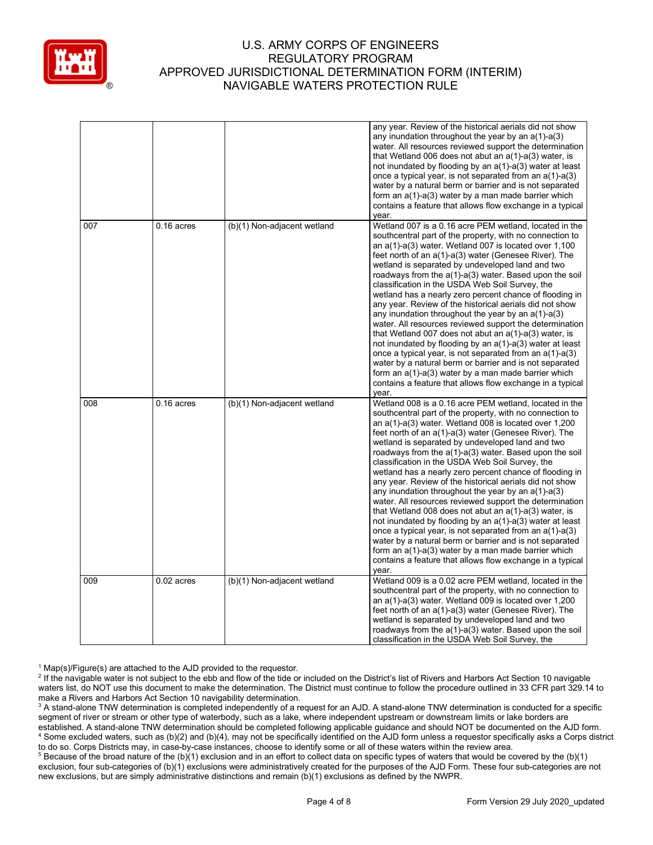

|     |              |                             | any year. Review of the historical aerials did not show<br>any inundation throughout the year by an $a(1)$ -a(3)<br>water. All resources reviewed support the determination<br>that Wetland 006 does not abut an $a(1)$ -a(3) water, is<br>not inundated by flooding by an a(1)-a(3) water at least<br>once a typical year, is not separated from an $a(1)-a(3)$<br>water by a natural berm or barrier and is not separated<br>form an $a(1)$ - $a(3)$ water by a man made barrier which<br>contains a feature that allows flow exchange in a typical<br>year.                                                                                                                                                                                                                                                                                                                                                                                                                                                                                  |
|-----|--------------|-----------------------------|-------------------------------------------------------------------------------------------------------------------------------------------------------------------------------------------------------------------------------------------------------------------------------------------------------------------------------------------------------------------------------------------------------------------------------------------------------------------------------------------------------------------------------------------------------------------------------------------------------------------------------------------------------------------------------------------------------------------------------------------------------------------------------------------------------------------------------------------------------------------------------------------------------------------------------------------------------------------------------------------------------------------------------------------------|
| 007 | $0.16$ acres | (b)(1) Non-adjacent wetland | Wetland 007 is a 0.16 acre PEM wetland, located in the<br>southcentral part of the property, with no connection to<br>an a(1)-a(3) water. Wetland 007 is located over 1,100<br>feet north of an a(1)-a(3) water (Genesee River). The<br>wetland is separated by undeveloped land and two<br>roadways from the $a(1)$ - $a(3)$ water. Based upon the soil<br>classification in the USDA Web Soil Survey, the<br>wetland has a nearly zero percent chance of flooding in<br>any year. Review of the historical aerials did not show<br>any inundation throughout the year by an $a(1)$ -a(3)<br>water. All resources reviewed support the determination<br>that Wetland 007 does not abut an $a(1)$ - $a(3)$ water, is<br>not inundated by flooding by an $a(1)$ - $a(3)$ water at least<br>once a typical year, is not separated from an $a(1)$ -a(3)<br>water by a natural berm or barrier and is not separated<br>form an a(1)-a(3) water by a man made barrier which<br>contains a feature that allows flow exchange in a typical<br>year.    |
| 008 | $0.16$ acres | (b)(1) Non-adjacent wetland | Wetland 008 is a 0.16 acre PEM wetland, located in the<br>southcentral part of the property, with no connection to<br>an a(1)-a(3) water. Wetland 008 is located over 1,200<br>feet north of an a(1)-a(3) water (Genesee River). The<br>wetland is separated by undeveloped land and two<br>roadways from the $a(1)$ - $a(3)$ water. Based upon the soil<br>classification in the USDA Web Soil Survey, the<br>wetland has a nearly zero percent chance of flooding in<br>any year. Review of the historical aerials did not show<br>any inundation throughout the year by an $a(1)$ -a(3)<br>water. All resources reviewed support the determination<br>that Wetland 008 does not abut an $a(1)$ -a(3) water, is<br>not inundated by flooding by an $a(1)$ - $a(3)$ water at least<br>once a typical year, is not separated from an $a(1)$ -a(3)<br>water by a natural berm or barrier and is not separated<br>form an $a(1)$ - $a(3)$ water by a man made barrier which<br>contains a feature that allows flow exchange in a typical<br>year. |
| 009 | $0.02$ acres | (b)(1) Non-adjacent wetland | Wetland 009 is a 0.02 acre PEM wetland, located in the<br>southcentral part of the property, with no connection to<br>an a(1)-a(3) water. Wetland 009 is located over 1,200<br>feet north of an a(1)-a(3) water (Genesee River). The<br>wetland is separated by undeveloped land and two<br>roadways from the $a(1)$ - $a(3)$ water. Based upon the soil<br>classification in the USDA Web Soil Survey, the                                                                                                                                                                                                                                                                                                                                                                                                                                                                                                                                                                                                                                     |

<sup>1</sup> Map(s)/Figure(s) are attached to the AJD provided to the requestor.<br><sup>2</sup> If the navigable water is not subject to the ebb and flow of the tide or included on the District's list of Rivers and Harbors Act Section 10 nav waters list, do NOT use this document to make the determination. The District must continue to follow the procedure outlined in 33 CFR part 329.14 to make a Rivers and Harbors Act Section 10 navigability determination.

<sup>3</sup> A stand-alone TNW determination is completed independently of a request for an AJD. A stand-alone TNW determination is conducted for a specific segment of river or stream or other type of waterbody, such as a lake, where independent upstream or downstream limits or lake borders are established. A stand-alone TNW determination should be completed following applicable guidance and should NOT be documented on the AJD form. <sup>4</sup> Some excluded waters, such as (b)(2) and (b)(4), may not be specifically identified on the AJD form unless a requestor specifically asks a Corps district to do so. Corps Districts may, in case-by-case instances, choose to identify some or all of these waters within the review area.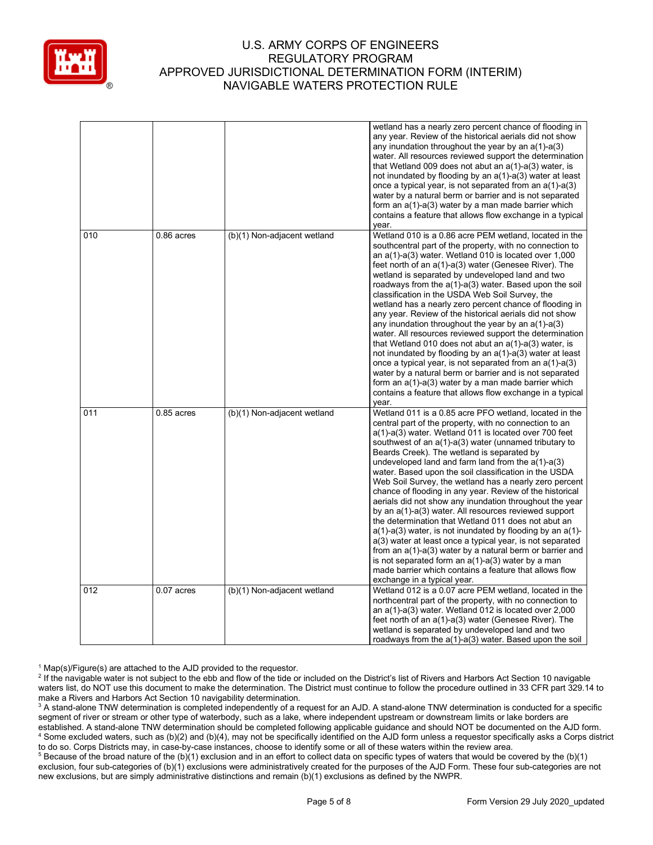

|     |              |                             | wetland has a nearly zero percent chance of flooding in<br>any year. Review of the historical aerials did not show<br>any inundation throughout the year by an $a(1)$ -a(3)<br>water. All resources reviewed support the determination<br>that Wetland 009 does not abut an $a(1)$ - $a(3)$ water, is<br>not inundated by flooding by an $a(1)$ - $a(3)$ water at least<br>once a typical year, is not separated from an $a(1)$ -a(3)<br>water by a natural berm or barrier and is not separated<br>form an a(1)-a(3) water by a man made barrier which<br>contains a feature that allows flow exchange in a typical<br>year.                                                                                                                                                                                                                                                                                                                                                                                                                  |
|-----|--------------|-----------------------------|------------------------------------------------------------------------------------------------------------------------------------------------------------------------------------------------------------------------------------------------------------------------------------------------------------------------------------------------------------------------------------------------------------------------------------------------------------------------------------------------------------------------------------------------------------------------------------------------------------------------------------------------------------------------------------------------------------------------------------------------------------------------------------------------------------------------------------------------------------------------------------------------------------------------------------------------------------------------------------------------------------------------------------------------|
| 010 | $0.86$ acres | (b)(1) Non-adjacent wetland | Wetland 010 is a 0.86 acre PEM wetland, located in the<br>southcentral part of the property, with no connection to<br>an a(1)-a(3) water. Wetland 010 is located over 1,000<br>feet north of an a(1)-a(3) water (Genesee River). The<br>wetland is separated by undeveloped land and two<br>roadways from the a(1)-a(3) water. Based upon the soil<br>classification in the USDA Web Soil Survey, the<br>wetland has a nearly zero percent chance of flooding in<br>any year. Review of the historical aerials did not show<br>any inundation throughout the year by an $a(1)$ -a(3)<br>water. All resources reviewed support the determination<br>that Wetland 010 does not abut an $a(1)$ -a(3) water, is<br>not inundated by flooding by an a(1)-a(3) water at least<br>once a typical year, is not separated from an $a(1)$ -a(3)<br>water by a natural berm or barrier and is not separated<br>form an a(1)-a(3) water by a man made barrier which<br>contains a feature that allows flow exchange in a typical<br>year.                  |
| 011 | $0.85$ acres | (b)(1) Non-adjacent wetland | Wetland 011 is a 0.85 acre PFO wetland, located in the<br>central part of the property, with no connection to an<br>a(1)-a(3) water. Wetland 011 is located over 700 feet<br>southwest of an a(1)-a(3) water (unnamed tributary to<br>Beards Creek). The wetland is separated by<br>undeveloped land and farm land from the $a(1)-a(3)$<br>water. Based upon the soil classification in the USDA<br>Web Soil Survey, the wetland has a nearly zero percent<br>chance of flooding in any year. Review of the historical<br>aerials did not show any inundation throughout the year<br>by an a(1)-a(3) water. All resources reviewed support<br>the determination that Wetland 011 does not abut an<br>$a(1)$ -a(3) water, is not inundated by flooding by an $a(1)$ -<br>a(3) water at least once a typical year, is not separated<br>from an a(1)-a(3) water by a natural berm or barrier and<br>is not separated form an $a(1)$ -a(3) water by a man<br>made barrier which contains a feature that allows flow<br>exchange in a typical year. |
| 012 | $0.07$ acres | (b)(1) Non-adjacent wetland | Wetland 012 is a 0.07 acre PEM wetland, located in the<br>northcentral part of the property, with no connection to<br>an $a(1)$ -a(3) water. Wetland 012 is located over 2,000<br>feet north of an a(1)-a(3) water (Genesee River). The<br>wetland is separated by undeveloped land and two<br>roadways from the a(1)-a(3) water. Based upon the soil                                                                                                                                                                                                                                                                                                                                                                                                                                                                                                                                                                                                                                                                                          |

<sup>&</sup>lt;sup>1</sup> Map(s)/Figure(s) are attached to the AJD provided to the requestor.<br><sup>2</sup> If the navigable water is not subject to the ebb and flow of the tide or included on the District's list of Rivers and Harbors Act Section 10 nav waters list, do NOT use this document to make the determination. The District must continue to follow the procedure outlined in 33 CFR part 329.14 to make a Rivers and Harbors Act Section 10 navigability determination.

<sup>&</sup>lt;sup>3</sup> A stand-alone TNW determination is completed independently of a request for an AJD. A stand-alone TNW determination is conducted for a specific segment of river or stream or other type of waterbody, such as a lake, where independent upstream or downstream limits or lake borders are established. A stand-alone TNW determination should be completed following applicable guidance and should NOT be documented on the AJD form. <sup>4</sup> Some excluded waters, such as (b)(2) and (b)(4), may not be specifically identified on the AJD form unless a requestor specifically asks a Corps district to do so. Corps Districts may, in case-by-case instances, choose to identify some or all of these waters within the review area.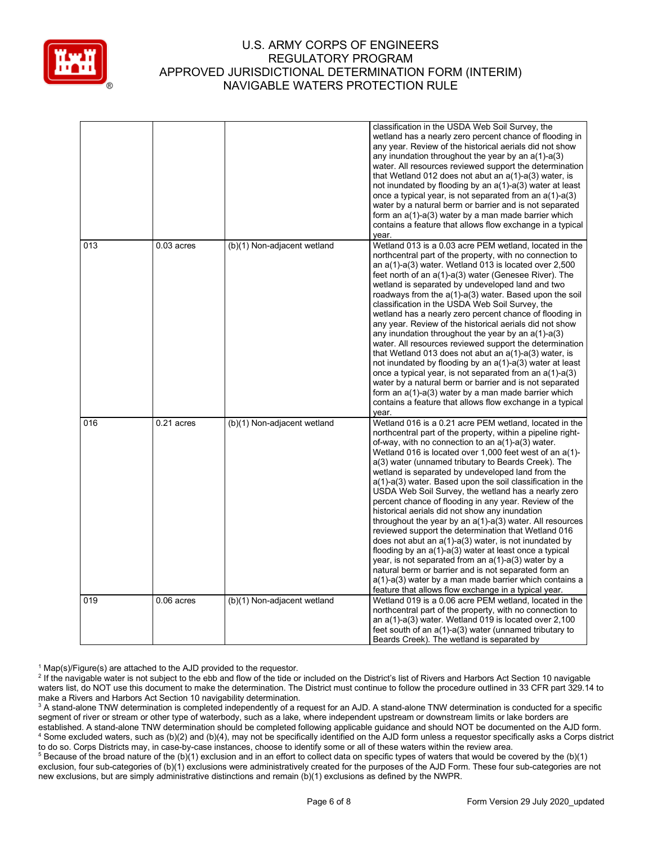

|     |              |                             | classification in the USDA Web Soil Survey, the<br>wetland has a nearly zero percent chance of flooding in<br>any year. Review of the historical aerials did not show<br>any inundation throughout the year by an $a(1)$ -a(3)<br>water. All resources reviewed support the determination<br>that Wetland 012 does not abut an $a(1)$ -a(3) water, is<br>not inundated by flooding by an $a(1)$ -a(3) water at least<br>once a typical year, is not separated from an $a(1)$ - $a(3)$<br>water by a natural berm or barrier and is not separated<br>form an a(1)-a(3) water by a man made barrier which<br>contains a feature that allows flow exchange in a typical<br>year.                                                                                                                                                                                                                                                                                                                                                                                                    |
|-----|--------------|-----------------------------|----------------------------------------------------------------------------------------------------------------------------------------------------------------------------------------------------------------------------------------------------------------------------------------------------------------------------------------------------------------------------------------------------------------------------------------------------------------------------------------------------------------------------------------------------------------------------------------------------------------------------------------------------------------------------------------------------------------------------------------------------------------------------------------------------------------------------------------------------------------------------------------------------------------------------------------------------------------------------------------------------------------------------------------------------------------------------------|
| 013 | $0.03$ acres | (b)(1) Non-adjacent wetland | Wetland 013 is a 0.03 acre PEM wetland, located in the<br>northcentral part of the property, with no connection to<br>an a(1)-a(3) water. Wetland 013 is located over 2,500<br>feet north of an a(1)-a(3) water (Genesee River). The<br>wetland is separated by undeveloped land and two<br>roadways from the a(1)-a(3) water. Based upon the soil<br>classification in the USDA Web Soil Survey, the<br>wetland has a nearly zero percent chance of flooding in<br>any year. Review of the historical aerials did not show<br>any inundation throughout the year by an $a(1)-a(3)$<br>water. All resources reviewed support the determination<br>that Wetland 013 does not abut an $a(1)$ -a(3) water, is<br>not inundated by flooding by an a(1)-a(3) water at least<br>once a typical year, is not separated from an $a(1)$ -a(3)<br>water by a natural berm or barrier and is not separated<br>form an a(1)-a(3) water by a man made barrier which<br>contains a feature that allows flow exchange in a typical<br>year.                                                     |
| 016 | $0.21$ acres | (b)(1) Non-adjacent wetland | Wetland 016 is a 0.21 acre PEM wetland, located in the<br>northcentral part of the property, within a pipeline right-<br>of-way, with no connection to an $a(1)$ - $a(3)$ water.<br>Wetland 016 is located over 1,000 feet west of an a(1)-<br>a(3) water (unnamed tributary to Beards Creek). The<br>wetland is separated by undeveloped land from the<br>a(1)-a(3) water. Based upon the soil classification in the<br>USDA Web Soil Survey, the wetland has a nearly zero<br>percent chance of flooding in any year. Review of the<br>historical aerials did not show any inundation<br>throughout the year by an $a(1)$ - $a(3)$ water. All resources<br>reviewed support the determination that Wetland 016<br>does not abut an $a(1)$ - $a(3)$ water, is not inundated by<br>flooding by an $a(1)$ -a(3) water at least once a typical<br>year, is not separated from an $a(1)$ -a(3) water by a<br>natural berm or barrier and is not separated form an<br>a(1)-a(3) water by a man made barrier which contains a<br>feature that allows flow exchange in a typical year. |
| 019 | $0.06$ acres | (b)(1) Non-adjacent wetland | Wetland 019 is a 0.06 acre PEM wetland, located in the<br>northcentral part of the property, with no connection to<br>an a(1)-a(3) water. Wetland 019 is located over 2,100<br>feet south of an a(1)-a(3) water (unnamed tributary to<br>Beards Creek). The wetland is separated by                                                                                                                                                                                                                                                                                                                                                                                                                                                                                                                                                                                                                                                                                                                                                                                              |

<sup>1</sup> Map(s)/Figure(s) are attached to the AJD provided to the requestor.<br><sup>2</sup> If the navigable water is not subject to the ebb and flow of the tide or included on the District's list of Rivers and Harbors Act Section 10 nav waters list, do NOT use this document to make the determination. The District must continue to follow the procedure outlined in 33 CFR part 329.14 to make a Rivers and Harbors Act Section 10 navigability determination.

<sup>3</sup> A stand-alone TNW determination is completed independently of a request for an AJD. A stand-alone TNW determination is conducted for a specific segment of river or stream or other type of waterbody, such as a lake, where independent upstream or downstream limits or lake borders are established. A stand-alone TNW determination should be completed following applicable guidance and should NOT be documented on the AJD form. <sup>4</sup> Some excluded waters, such as (b)(2) and (b)(4), may not be specifically identified on the AJD form unless a requestor specifically asks a Corps district to do so. Corps Districts may, in case-by-case instances, choose to identify some or all of these waters within the review area.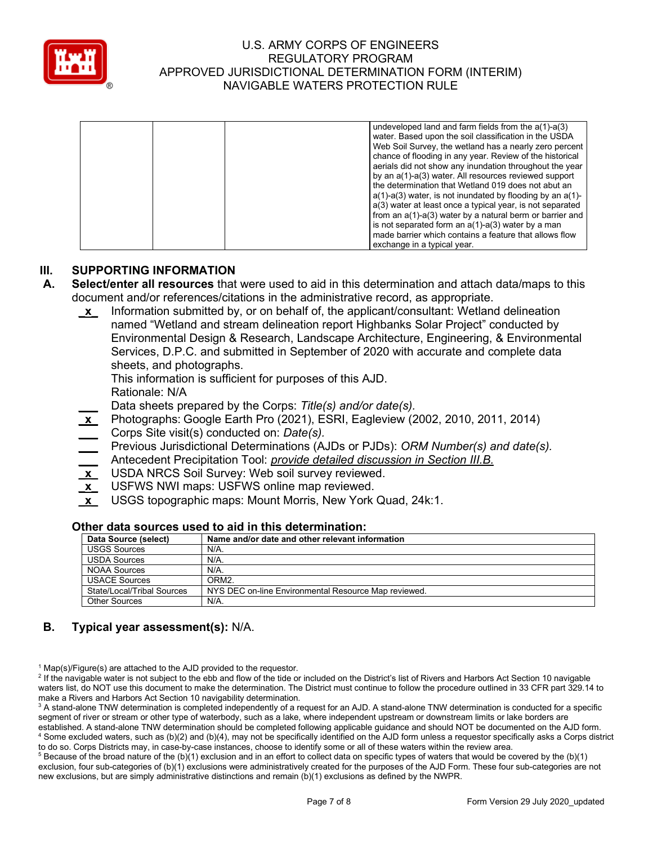

|  |  | undeveloped land and farm fields from the $a(1)$ - $a(3)$       |
|--|--|-----------------------------------------------------------------|
|  |  | water. Based upon the soil classification in the USDA           |
|  |  | Web Soil Survey, the wetland has a nearly zero percent          |
|  |  | chance of flooding in any year. Review of the historical        |
|  |  | aerials did not show any inundation throughout the year         |
|  |  | by an a(1)-a(3) water. All resources reviewed support           |
|  |  | the determination that Wetland 019 does not abut an             |
|  |  | $a(1)$ -a(3) water, is not inundated by flooding by an $a(1)$ - |
|  |  | a(3) water at least once a typical year, is not separated       |
|  |  | from an $a(1)-a(3)$ water by a natural berm or barrier and      |
|  |  | is not separated form an $a(1)$ - $a(3)$ water by a man         |
|  |  | made barrier which contains a feature that allows flow          |
|  |  | exchange in a typical year.                                     |

### **III. SUPPORTING INFORMATION**

- **A. Select/enter all resources** that were used to aid in this determination and attach data/maps to this document and/or references/citations in the administrative record, as appropriate.
	- **\_x\_** Information submitted by, or on behalf of, the applicant/consultant: Wetland delineation named "Wetland and stream delineation report Highbanks Solar Project" conducted by Environmental Design & Research, Landscape Architecture, Engineering, & Environmental Services, D.P.C. and submitted in September of 2020 with accurate and complete data sheets, and photographs.

This information is sufficient for purposes of this AJD.

Rationale: N/A

- **\_\_\_** Data sheets prepared by the Corps: *Title(s) and/or date(s).*
- **\_x\_** Photographs: Google Earth Pro (2021), ESRI, Eagleview (2002, 2010, 2011, 2014) **\_\_\_** Corps Site visit(s) conducted on: *Date(s).*
- **\_\_\_** Previous Jurisdictional Determinations (AJDs or PJDs): *ORM Number(s) and date(s).*
- **\_\_\_** Antecedent Precipitation Tool: *provide detailed discussion in Section III.B.*
- **\_x\_** USDA NRCS Soil Survey: Web soil survey reviewed.
- **\_x\_** USFWS NWI maps: USFWS online map reviewed.
- **\_x\_** USGS topographic maps: Mount Morris, New York Quad, 24k:1.

#### **Other data sources used to aid in this determination:**

| Data Source (select)       | Name and/or date and other relevant information      |
|----------------------------|------------------------------------------------------|
| <b>USGS Sources</b>        | N/A.                                                 |
| <b>USDA Sources</b>        | N/A.                                                 |
| <b>NOAA Sources</b>        | $N/A$ .                                              |
| <b>USACE Sources</b>       | ORM <sub>2</sub>                                     |
| State/Local/Tribal Sources | NYS DEC on-line Environmental Resource Map reviewed. |
| Other Sources              | N/A.                                                 |

# **B. Typical year assessment(s):** N/A.

<sup>1</sup> Map(s)/Figure(s) are attached to the AJD provided to the requestor.<br><sup>2</sup> If the navigable water is not subject to the ebb and flow of the tide or included on the District's list of Rivers and Harbors Act Section 10 nav waters list, do NOT use this document to make the determination. The District must continue to follow the procedure outlined in 33 CFR part 329.14 to make a Rivers and Harbors Act Section 10 navigability determination.

<sup>3</sup> A stand-alone TNW determination is completed independently of a request for an AJD. A stand-alone TNW determination is conducted for a specific segment of river or stream or other type of waterbody, such as a lake, where independent upstream or downstream limits or lake borders are established. A stand-alone TNW determination should be completed following applicable guidance and should NOT be documented on the AJD form. <sup>4</sup> Some excluded waters, such as (b)(2) and (b)(4), may not be specifically identified on the AJD form unless a requestor specifically asks a Corps district to do so. Corps Districts may, in case-by-case instances, choose to identify some or all of these waters within the review area.